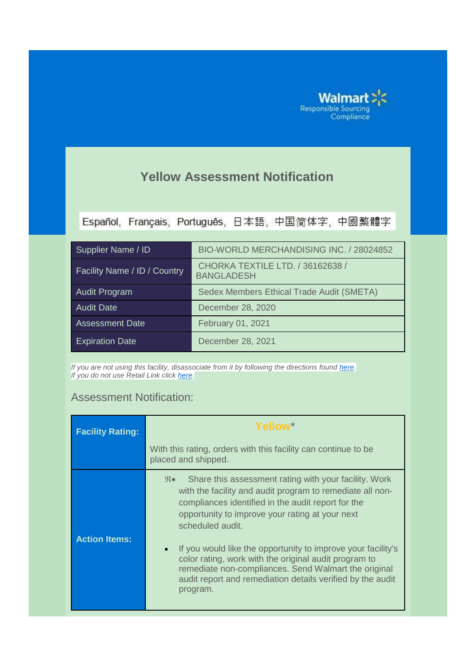

## **Yellow Assessment Notification**

Español, Français, Português, 日本語, 中国简体字, 中國繁體字

| Supplier Name / ID                  | BIO-WORLD MERCHANDISING INC. / 28024852               |
|-------------------------------------|-------------------------------------------------------|
| <b>Facility Name / ID / Country</b> | CHORKA TEXTILE LTD. / 36162638 /<br><b>BANGLADESH</b> |
| <b>Audit Program</b>                | Sedex Members Ethical Trade Audit (SMETA)             |
| <b>Audit Date</b>                   | December 28, 2020                                     |
| <b>Assessment Date</b>              | February 01, 2021                                     |
| <b>Expiration Date</b>              | December 28, 2021                                     |

*If you are not using this facility, disassociate from it by following the directions found <i>[here.](https://one.walmart.com/content/dam/responsiblesourcing/supplier-resources/disclosure_maintenance_rlmkts/Resource_FacilityDisclosureMaintenanceGuide_ENG.pdf) If you do not use Retail Link click [here.](https://one.walmart.com/content/dam/responsiblesourcing/supplier-resources/disclosure_maintenance_nonrlmkts/Resource_NonRLFacilityDisclosureMaintenanceGuide_ENG.pdf)*

## Assessment Notification:

| <b>Facility Rating:</b> | Yellow*                                                                                                                                                                                                                                                                                                                                                                                                                                                                                                                                             |  |
|-------------------------|-----------------------------------------------------------------------------------------------------------------------------------------------------------------------------------------------------------------------------------------------------------------------------------------------------------------------------------------------------------------------------------------------------------------------------------------------------------------------------------------------------------------------------------------------------|--|
|                         | With this rating, orders with this facility can continue to be<br>placed and shipped.                                                                                                                                                                                                                                                                                                                                                                                                                                                               |  |
| <b>Action Items:</b>    | Share this assessment rating with your facility. Work<br>$\mathfrak{R}$ $\bullet$<br>with the facility and audit program to remediate all non-<br>compliances identified in the audit report for the<br>opportunity to improve your rating at your next<br>scheduled audit.<br>If you would like the opportunity to improve your facility's<br>$\bullet$<br>color rating, work with the original audit program to<br>remediate non-compliances. Send Walmart the original<br>audit report and remediation details verified by the audit<br>program. |  |